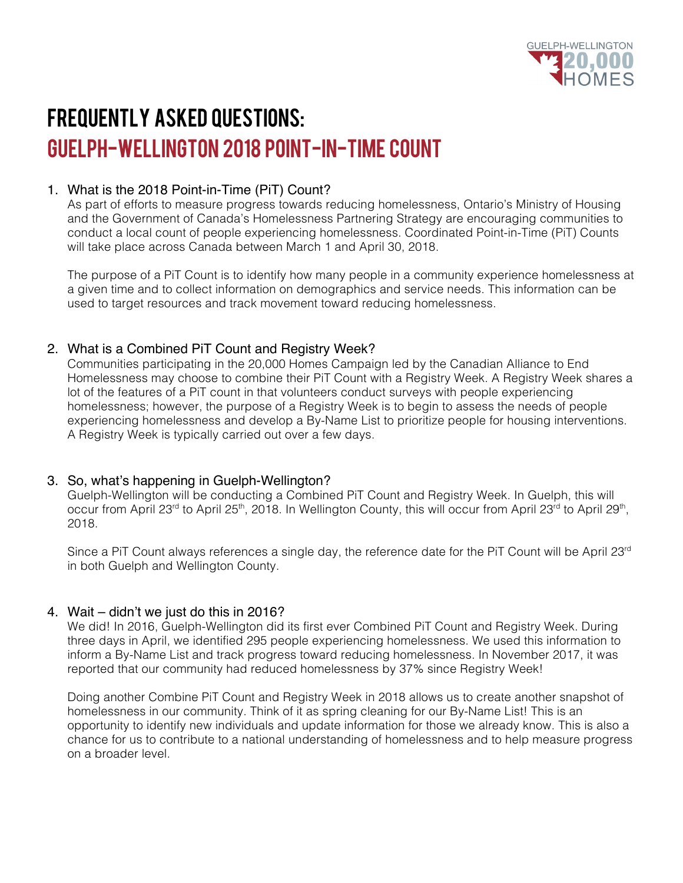

# FREQUENTLY ASKED QUESTIONS: GUELPH-WELLINGTON 2018 POINT-IN-TIME COUNT

## 1. What is the 2018 Point-in-Time (PiT) Count?

As part of efforts to measure progress towards reducing homelessness, Ontario's Ministry of Housing and the Government of Canada's Homelessness Partnering Strategy are encouraging communities to conduct a local count of people experiencing homelessness. Coordinated Point-in-Time (PiT) Counts will take place across Canada between March 1 and April 30, 2018.

The purpose of a PiT Count is to identify how many people in a community experience homelessness at a given time and to collect information on demographics and service needs. This information can be used to target resources and track movement toward reducing homelessness.

## 2. What is a Combined PiT Count and Registry Week?

Communities participating in the 20,000 Homes Campaign led by the Canadian Alliance to End Homelessness may choose to combine their PiT Count with a Registry Week. A Registry Week shares a lot of the features of a PiT count in that volunteers conduct surveys with people experiencing homelessness; however, the purpose of a Registry Week is to begin to assess the needs of people experiencing homelessness and develop a By-Name List to prioritize people for housing interventions. A Registry Week is typically carried out over a few days.

## 3. So, what's happening in Guelph-Wellington?

Guelph-Wellington will be conducting a Combined PiT Count and Registry Week. In Guelph, this will occur from April 23<sup>rd</sup> to April 25<sup>th</sup>, 2018. In Wellington County, this will occur from April 23<sup>rd</sup> to April 29<sup>th</sup>, 2018.

Since a PiT Count always references a single day, the reference date for the PiT Count will be April 23rd in both Guelph and Wellington County.

## 4. Wait – didn't we just do this in 2016?

We did! In 2016, Guelph-Wellington did its first ever Combined PiT Count and Registry Week. During three days in April, we identified 295 people experiencing homelessness. We used this information to inform a By-Name List and track progress toward reducing homelessness. In November 2017, it was reported that our community had reduced homelessness by 37% since Registry Week!

Doing another Combine PiT Count and Registry Week in 2018 allows us to create another snapshot of homelessness in our community. Think of it as spring cleaning for our By-Name List! This is an opportunity to identify new individuals and update information for those we already know. This is also a chance for us to contribute to a national understanding of homelessness and to help measure progress on a broader level.